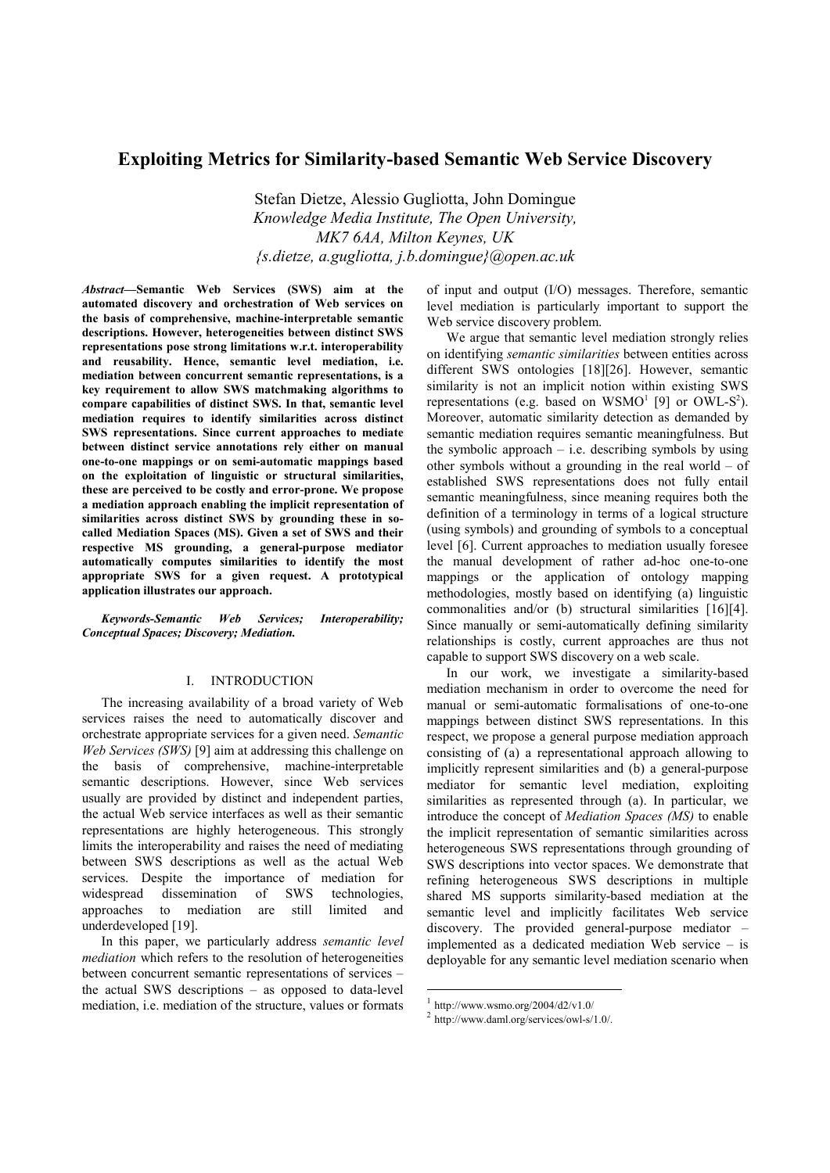# **Exploiting Metrics for Similarity-based Semantic Web Service Discovery**

Stefan Dietze, Alessio Gugliotta, John Domingue *Knowledge Media Institute, The Open University, MK7 6AA, Milton Keynes, UK {s.dietze, a.gugliotta, j.b.domingue}@open.ac.uk* 

*Abstract—***Semantic Web Services (SWS) aim at the automated discovery and orchestration of Web services on the basis of comprehensive, machine-interpretable semantic descriptions. However, heterogeneities between distinct SWS representations pose strong limitations w.r.t. interoperability and reusability. Hence, semantic level mediation, i.e. mediation between concurrent semantic representations, is a key requirement to allow SWS matchmaking algorithms to compare capabilities of distinct SWS. In that, semantic level mediation requires to identify similarities across distinct SWS representations. Since current approaches to mediate between distinct service annotations rely either on manual one-to-one mappings or on semi-automatic mappings based on the exploitation of linguistic or structural similarities, these are perceived to be costly and error-prone. We propose a mediation approach enabling the implicit representation of similarities across distinct SWS by grounding these in socalled Mediation Spaces (MS). Given a set of SWS and their respective MS grounding, a general-purpose mediator automatically computes similarities to identify the most appropriate SWS for a given request. A prototypical application illustrates our approach.** 

*Keywords-Semantic Web Services; Interoperability; Conceptual Spaces; Discovery; Mediation.* 

## I. INTRODUCTION

The increasing availability of a broad variety of Web services raises the need to automatically discover and orchestrate appropriate services for a given need. *Semantic Web Services (SWS)* [9] aim at addressing this challenge on the basis of comprehensive, machine-interpretable semantic descriptions. However, since Web services usually are provided by distinct and independent parties, the actual Web service interfaces as well as their semantic representations are highly heterogeneous. This strongly limits the interoperability and raises the need of mediating between SWS descriptions as well as the actual Web services. Despite the importance of mediation for widespread dissemination of SWS technologies, approaches to mediation are still limited and underdeveloped [19].

In this paper, we particularly address *semantic level mediation* which refers to the resolution of heterogeneities between concurrent semantic representations of services – the actual SWS descriptions – as opposed to data-level mediation, i.e. mediation of the structure, values or formats of input and output (I/O) messages. Therefore, semantic level mediation is particularly important to support the Web service discovery problem.

We argue that semantic level mediation strongly relies on identifying *semantic similarities* between entities across different SWS ontologies [18][26]. However, semantic similarity is not an implicit notion within existing SWS representations (e.g. based on  $WSMO<sup>1</sup>$  [9] or  $OWL-S<sup>2</sup>$ ). Moreover, automatic similarity detection as demanded by semantic mediation requires semantic meaningfulness. But the symbolic approach  $-$  i.e. describing symbols by using other symbols without a grounding in the real world – of established SWS representations does not fully entail semantic meaningfulness, since meaning requires both the definition of a terminology in terms of a logical structure (using symbols) and grounding of symbols to a conceptual level [6]. Current approaches to mediation usually foresee the manual development of rather ad-hoc one-to-one mappings or the application of ontology mapping methodologies, mostly based on identifying (a) linguistic commonalities and/or (b) structural similarities [16][4]. Since manually or semi-automatically defining similarity relationships is costly, current approaches are thus not capable to support SWS discovery on a web scale.

In our work, we investigate a similarity-based mediation mechanism in order to overcome the need for manual or semi-automatic formalisations of one-to-one mappings between distinct SWS representations. In this respect, we propose a general purpose mediation approach consisting of (a) a representational approach allowing to implicitly represent similarities and (b) a general-purpose mediator for semantic level mediation, exploiting similarities as represented through (a). In particular, we introduce the concept of *Mediation Spaces (MS)* to enable the implicit representation of semantic similarities across heterogeneous SWS representations through grounding of SWS descriptions into vector spaces. We demonstrate that refining heterogeneous SWS descriptions in multiple shared MS supports similarity-based mediation at the semantic level and implicitly facilitates Web service discovery. The provided general-purpose mediator – implemented as a dedicated mediation Web service – is deployable for any semantic level mediation scenario when

-

 $1$  http://www.wsmo.org/2004/d2/v1.0/

<sup>2</sup> http://www.daml.org/services/owl-s/1.0/.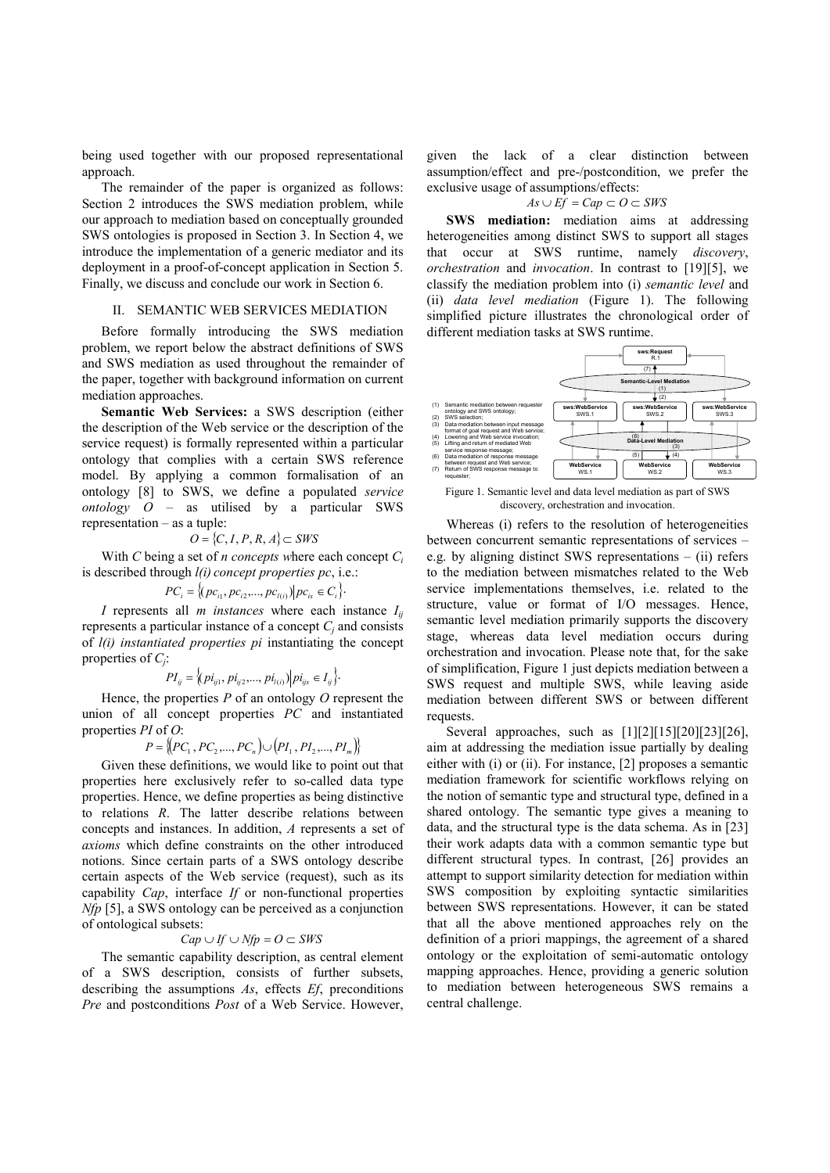being used together with our proposed representational approach.

The remainder of the paper is organized as follows: Section 2 introduces the SWS mediation problem, while our approach to mediation based on conceptually grounded SWS ontologies is proposed in Section 3. In Section 4, we introduce the implementation of a generic mediator and its deployment in a proof-of-concept application in Section 5. Finally, we discuss and conclude our work in Section 6.

## II. SEMANTIC WEB SERVICES MEDIATION

Before formally introducing the SWS mediation problem, we report below the abstract definitions of SWS and SWS mediation as used throughout the remainder of the paper, together with background information on current mediation approaches.

**Semantic Web Services:** a SWS description (either the description of the Web service or the description of the service request) is formally represented within a particular ontology that complies with a certain SWS reference model. By applying a common formalisation of an ontology [8] to SWS, we define a populated *service ontology O* – as utilised by a particular SWS representation – as a tuple:

$$
O = \{C, I, P, R, A\} \subset \text{SWS}
$$

With *C* being a set of *n* concepts where each concept  $C_i$ is described through *l(i) concept properties pc*, i.e.:

$$
PC_i = \{(pc_{i1}, pc_{i2}, ..., pc_{l(i)}) | pc_{ix} \in C_i\}.
$$

*I* represents all *m instances* where each instance  $I_{ii}$ represents a particular instance of a concept  $C_j$  and consists of *l(i) instantiated properties pi* instantiating the concept properties of *C<sup>j</sup>* :

$$
PI_{ij} = \left\langle (pi_{ij1}, pi_{ij2},..., pi_{l(i)}) \right| pi_{ijx} \in I_{ij} \right\}.
$$

Hence, the properties *P* of an ontology *O* represent the union of all concept properties *PC* and instantiated properties *PI* of *O*:

 $P = \{ [PC_1, PC_2, ..., PC_n] \cup [PI_1, PI_2, ..., PI_m] \}$ 

Given these definitions, we would like to point out that properties here exclusively refer to so-called data type properties. Hence, we define properties as being distinctive to relations *R*. The latter describe relations between concepts and instances. In addition, *A* represents a set of *axioms* which define constraints on the other introduced notions. Since certain parts of a SWS ontology describe certain aspects of the Web service (request), such as its capability *Cap*, interface *If* or non-functional properties *Nfp* [5], a SWS ontology can be perceived as a conjunction of ontological subsets:

$$
Cap \cup If \cup Nfp = O \subset SWS
$$

The semantic capability description, as central element of a SWS description, consists of further subsets, describing the assumptions *As*, effects *Ef*, preconditions *Pre* and postconditions *Post* of a Web Service. However, given the lack of a clear distinction between assumption/effect and pre-/postcondition, we prefer the exclusive usage of assumptions/effects:

*As* ∪ *Ef* = *Cap* ⊂ *O* ⊂ *SWS*

**SWS mediation:** mediation aims at addressing heterogeneities among distinct SWS to support all stages that occur at SWS runtime, namely *discovery*, *orchestration* and *invocation*. In contrast to [19][5], we classify the mediation problem into (i) *semantic level* and (ii) *data level mediation* (Figure 1). The following simplified picture illustrates the chronological order of different mediation tasks at SWS runtime.



Figure 1. Semantic level and data level mediation as part of SWS discovery, orchestration and invocation.

Whereas (i) refers to the resolution of heterogeneities between concurrent semantic representations of services – e.g. by aligning distinct SWS representations – (ii) refers to the mediation between mismatches related to the Web service implementations themselves, i.e. related to the structure, value or format of I/O messages. Hence, semantic level mediation primarily supports the discovery stage, whereas data level mediation occurs during orchestration and invocation. Please note that, for the sake of simplification, Figure 1 just depicts mediation between a SWS request and multiple SWS, while leaving aside mediation between different SWS or between different requests.

Several approaches, such as [1][2][15][20][23][26], aim at addressing the mediation issue partially by dealing either with (i) or (ii). For instance, [2] proposes a semantic mediation framework for scientific workflows relying on the notion of semantic type and structural type, defined in a shared ontology. The semantic type gives a meaning to data, and the structural type is the data schema. As in [23] their work adapts data with a common semantic type but different structural types. In contrast, [26] provides an attempt to support similarity detection for mediation within SWS composition by exploiting syntactic similarities between SWS representations. However, it can be stated that all the above mentioned approaches rely on the definition of a priori mappings, the agreement of a shared ontology or the exploitation of semi-automatic ontology mapping approaches. Hence, providing a generic solution to mediation between heterogeneous SWS remains a central challenge.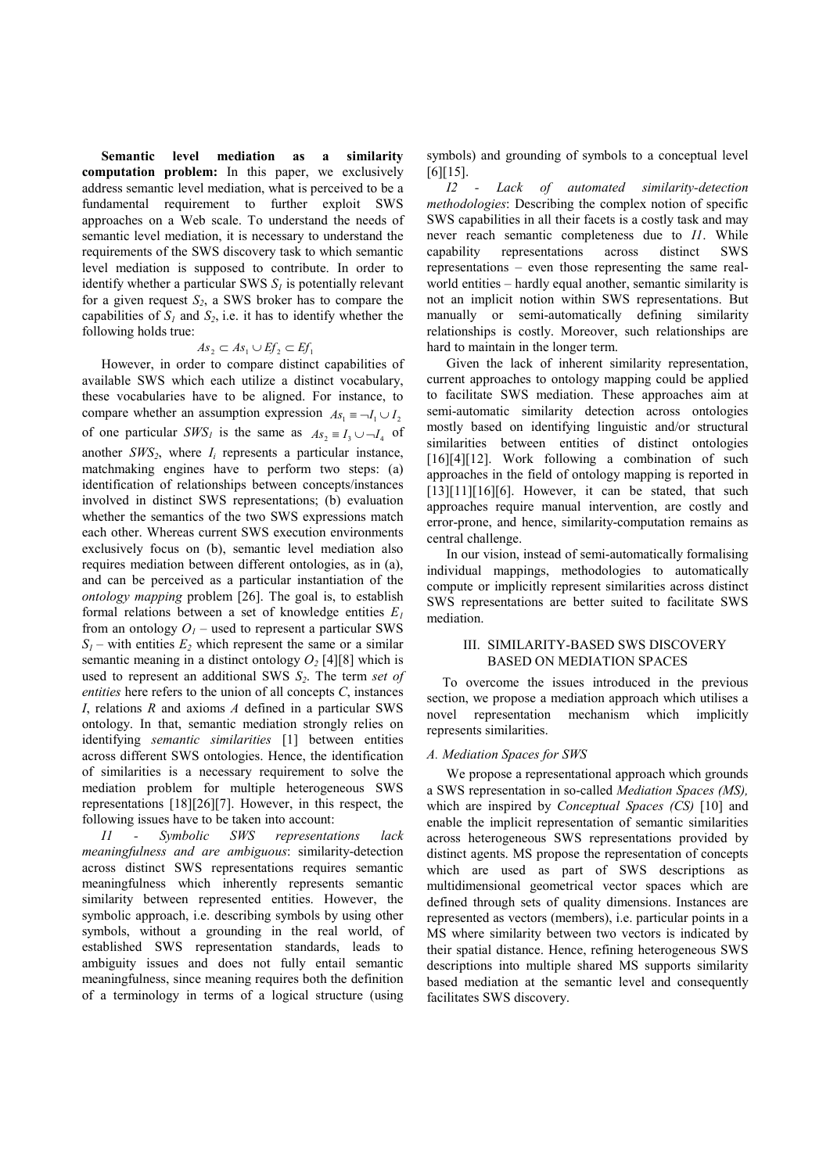**Semantic level mediation as a similarity computation problem:** In this paper, we exclusively address semantic level mediation, what is perceived to be a fundamental requirement to further exploit SWS approaches on a Web scale. To understand the needs of semantic level mediation, it is necessary to understand the requirements of the SWS discovery task to which semantic level mediation is supposed to contribute. In order to identify whether a particular SWS *S1* is potentially relevant for a given request *S2*, a SWS broker has to compare the capabilities of  $S_I$  and  $S_2$ , i.e. it has to identify whether the following holds true:

## $As_2$  ⊂  $As_1$  ∪  $Ef_2$  ⊂  $Ef_1$

However, in order to compare distinct capabilities of available SWS which each utilize a distinct vocabulary, these vocabularies have to be aligned. For instance, to compare whether an assumption expression  $As_1 \equiv \neg I_1 \cup I_2$ of one particular *SWS*<sup>*I*</sup> is the same as  $As_2 \equiv I_3 \cup -I_4$  of another  $SWS_2$ , where  $I_i$  represents a particular instance, matchmaking engines have to perform two steps: (a) identification of relationships between concepts/instances involved in distinct SWS representations; (b) evaluation whether the semantics of the two SWS expressions match each other. Whereas current SWS execution environments exclusively focus on (b), semantic level mediation also requires mediation between different ontologies, as in (a), and can be perceived as a particular instantiation of the *ontology mapping* problem [26]. The goal is, to establish formal relations between a set of knowledge entities *E<sup>1</sup>* from an ontology  $O<sub>I</sub>$  – used to represent a particular SWS  $S_1$  – with entities  $E_2$  which represent the same or a similar semantic meaning in a distinct ontology  $O_2$  [4][8] which is used to represent an additional SWS *S2*. The term *set of entities* here refers to the union of all concepts *C*, instances *I*, relations *R* and axioms *A* defined in a particular SWS ontology. In that, semantic mediation strongly relies on identifying *semantic similarities* [1] between entities across different SWS ontologies. Hence, the identification of similarities is a necessary requirement to solve the mediation problem for multiple heterogeneous SWS representations [18][26][7]. However, in this respect, the following issues have to be taken into account:

*I1 - Symbolic SWS representations lack meaningfulness and are ambiguous*: similarity-detection across distinct SWS representations requires semantic meaningfulness which inherently represents semantic similarity between represented entities. However, the symbolic approach, i.e. describing symbols by using other symbols, without a grounding in the real world, of established SWS representation standards, leads to ambiguity issues and does not fully entail semantic meaningfulness, since meaning requires both the definition of a terminology in terms of a logical structure (using

symbols) and grounding of symbols to a conceptual level [6][15].

*I2 - Lack of automated similarity-detection methodologies*: Describing the complex notion of specific SWS capabilities in all their facets is a costly task and may never reach semantic completeness due to *I1*. While capability representations across distinct SWS representations – even those representing the same realworld entities – hardly equal another, semantic similarity is not an implicit notion within SWS representations. But manually or semi-automatically defining similarity relationships is costly. Moreover, such relationships are hard to maintain in the longer term.

Given the lack of inherent similarity representation, current approaches to ontology mapping could be applied to facilitate SWS mediation. These approaches aim at semi-automatic similarity detection across ontologies mostly based on identifying linguistic and/or structural similarities between entities of distinct ontologies [16][4][12]. Work following a combination of such approaches in the field of ontology mapping is reported in  $[13][11][16][6]$ . However, it can be stated, that such approaches require manual intervention, are costly and error-prone, and hence, similarity-computation remains as central challenge.

In our vision, instead of semi-automatically formalising individual mappings, methodologies to automatically compute or implicitly represent similarities across distinct SWS representations are better suited to facilitate SWS mediation.

## III. SIMILARITY-BASED SWS DISCOVERY BASED ON MEDIATION SPACES

To overcome the issues introduced in the previous section, we propose a mediation approach which utilises a novel representation mechanism which implicitly represents similarities.

#### *A. Mediation Spaces for SWS*

We propose a representational approach which grounds a SWS representation in so-called *Mediation Spaces (MS),* which are inspired by *Conceptual Spaces (CS)* [10] and enable the implicit representation of semantic similarities across heterogeneous SWS representations provided by distinct agents. MS propose the representation of concepts which are used as part of SWS descriptions as multidimensional geometrical vector spaces which are defined through sets of quality dimensions. Instances are represented as vectors (members), i.e. particular points in a MS where similarity between two vectors is indicated by their spatial distance. Hence, refining heterogeneous SWS descriptions into multiple shared MS supports similarity based mediation at the semantic level and consequently facilitates SWS discovery.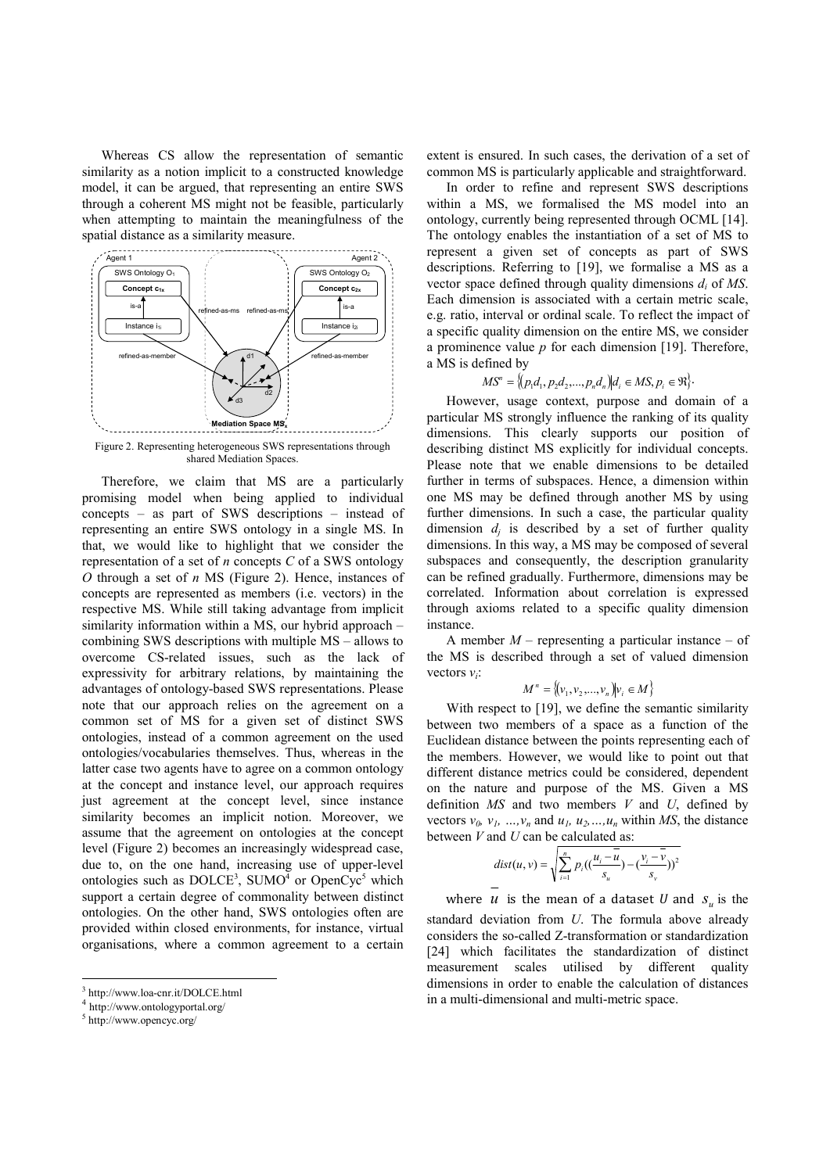Whereas CS allow the representation of semantic similarity as a notion implicit to a constructed knowledge model, it can be argued, that representing an entire SWS through a coherent MS might not be feasible, particularly when attempting to maintain the meaningfulness of the spatial distance as a similarity measure.



Figure 2. Representing heterogeneous SWS representations through shared Mediation Spaces.

Therefore, we claim that MS are a particularly promising model when being applied to individual concepts – as part of SWS descriptions – instead of representing an entire SWS ontology in a single MS. In that, we would like to highlight that we consider the representation of a set of *n* concepts *C* of a SWS ontology *O* through a set of *n* MS (Figure 2). Hence, instances of concepts are represented as members (i.e. vectors) in the respective MS. While still taking advantage from implicit similarity information within a MS, our hybrid approach – combining SWS descriptions with multiple MS – allows to overcome CS-related issues, such as the lack of expressivity for arbitrary relations, by maintaining the advantages of ontology-based SWS representations. Please note that our approach relies on the agreement on a common set of MS for a given set of distinct SWS ontologies, instead of a common agreement on the used ontologies/vocabularies themselves. Thus, whereas in the latter case two agents have to agree on a common ontology at the concept and instance level, our approach requires just agreement at the concept level, since instance similarity becomes an implicit notion. Moreover, we assume that the agreement on ontologies at the concept level (Figure 2) becomes an increasingly widespread case, due to, on the one hand, increasing use of upper-level ontologies such as  $DOLCE^3$ ,  $SUMO<sup>4</sup>$  or  $OpenCyc<sup>5</sup>$  which support a certain degree of commonality between distinct ontologies. On the other hand, SWS ontologies often are provided within closed environments, for instance, virtual organisations, where a common agreement to a certain

-

extent is ensured. In such cases, the derivation of a set of common MS is particularly applicable and straightforward.

In order to refine and represent SWS descriptions within a MS, we formalised the MS model into an ontology, currently being represented through OCML [14]. The ontology enables the instantiation of a set of MS to represent a given set of concepts as part of SWS descriptions. Referring to [19], we formalise a MS as a vector space defined through quality dimensions  $d_i$  of *MS*. Each dimension is associated with a certain metric scale, e.g. ratio, interval or ordinal scale. To reflect the impact of a specific quality dimension on the entire MS, we consider a prominence value *p* for each dimension [19]. Therefore, a MS is defined by

$$
MS^{n} = \{(p_{1}d_{1}, p_{2}d_{2},..., p_{n}d_{n}) | d_{i} \in MS, p_{i} \in \mathfrak{R}\}.
$$

However, usage context, purpose and domain of a particular MS strongly influence the ranking of its quality dimensions. This clearly supports our position of describing distinct MS explicitly for individual concepts. Please note that we enable dimensions to be detailed further in terms of subspaces. Hence, a dimension within one MS may be defined through another MS by using further dimensions. In such a case, the particular quality dimension  $d_j$  is described by a set of further quality dimensions. In this way, a MS may be composed of several subspaces and consequently, the description granularity can be refined gradually. Furthermore, dimensions may be correlated. Information about correlation is expressed through axioms related to a specific quality dimension instance.

A member *M* – representing a particular instance – of the MS is described through a set of valued dimension vectors  $v_i$ :

$$
M^n = \{(v_1, v_2, ..., v_n)|v_i \in M\}
$$

With respect to [19], we define the semantic similarity between two members of a space as a function of the Euclidean distance between the points representing each of the members. However, we would like to point out that different distance metrics could be considered, dependent on the nature and purpose of the MS. Given a MS definition *MS* and two members *V* and *U*, defined by vectors  $v_0$ ,  $v_1$ , …,  $v_n$  and  $u_1$ ,  $u_2$ , …,  $u_n$  within *MS*, the distance between *V* and *U* can be calculated as:

$$
dist(u, v) = \sqrt{\sum_{i=1}^{n} p_i \left( \left( \frac{u_i - \overline{u}}{s_u} \right) - \left( \frac{v_i - \overline{v}}{s_v} \right) \right)^2}
$$

where *u* is the mean of a dataset *U* and  $S_u$  is the standard deviation from *U*. The formula above already considers the so-called Z-transformation or standardization [24] which facilitates the standardization of distinct measurement scales utilised by different quality dimensions in order to enable the calculation of distances in a multi-dimensional and multi-metric space.

<sup>3</sup> http://www.loa-cnr.it/DOLCE.html

<sup>4</sup> http://www.ontologyportal.org/

<sup>5</sup> http://www.opencyc.org/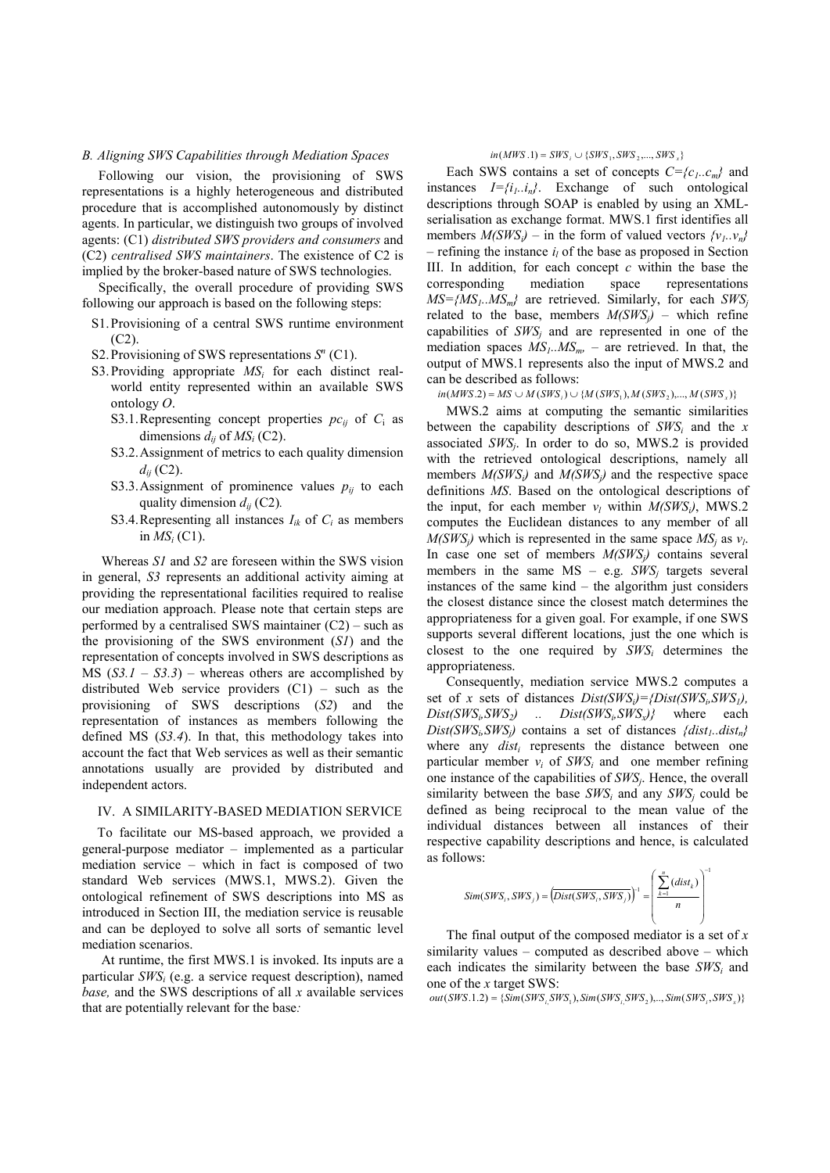#### *B. Aligning SWS Capabilities through Mediation Spaces*

Following our vision, the provisioning of SWS representations is a highly heterogeneous and distributed procedure that is accomplished autonomously by distinct agents. In particular, we distinguish two groups of involved agents: (C1) *distributed SWS providers and consumers* and (C2) *centralised SWS maintainers*. The existence of C2 is implied by the broker-based nature of SWS technologies.

Specifically, the overall procedure of providing SWS following our approach is based on the following steps:

- S1.Provisioning of a central SWS runtime environment  $(C2)$ .
- S2. Provisioning of SWS representations  $S<sup>n</sup>$  (C1).
- S3.Providing appropriate *MS<sup>i</sup>* for each distinct realworld entity represented within an available SWS ontology *O*.
	- S3.1. Representing concept properties  $pc_{ij}$  of  $C_i$  as dimensions  $d_{ij}$  of  $MS_i$  (C2).
	- S3.2.Assignment of metrics to each quality dimension *dij* (C2).
	- S3.3.Assignment of prominence values  $p_{ij}$  to each quality dimension *dij* (C2)*.*
	- S3.4. Representing all instances  $I_{ik}$  of  $C_i$  as members in  $MS_i$  (C1).

Whereas *S1* and *S2* are foreseen within the SWS vision in general, *S3* represents an additional activity aiming at providing the representational facilities required to realise our mediation approach. Please note that certain steps are performed by a centralised SWS maintainer (C2) – such as the provisioning of the SWS environment (*S1*) and the representation of concepts involved in SWS descriptions as MS  $(S3.1 - S3.3)$  – whereas others are accomplished by distributed Web service providers (C1) – such as the provisioning of SWS descriptions (*S2*) and the representation of instances as members following the defined MS (*S3.4*). In that, this methodology takes into account the fact that Web services as well as their semantic annotations usually are provided by distributed and independent actors.

#### IV. A SIMILARITY-BASED MEDIATION SERVICE

To facilitate our MS-based approach, we provided a general-purpose mediator – implemented as a particular mediation service – which in fact is composed of two standard Web services (MWS.1, MWS.2). Given the ontological refinement of SWS descriptions into MS as introduced in Section III, the mediation service is reusable and can be deployed to solve all sorts of semantic level mediation scenarios.

At runtime, the first MWS.1 is invoked. Its inputs are a particular *SWS<sup>i</sup>* (e.g. a service request description), named *base,* and the SWS descriptions of all *x* available services that are potentially relevant for the base*:*

#### $in(MWS.1) = SWS_i \cup \{SWS_1, SWS_2, ..., SWS_x\}$

Each SWS contains a set of concepts  $C = \{c_1, c_m\}$  and instances *I={i1..in}*. Exchange of such ontological descriptions through SOAP is enabled by using an XMLserialisation as exchange format. MWS.1 first identifies all members  $M(SWS_i)$  – in the form of valued vectors  $\{v_i, v_n\}$  $-$  refining the instance  $i_l$  of the base as proposed in Section III. In addition, for each concept *c* within the base the corresponding mediation space representations  $MS = \{MS_1, MS_m\}$  are retrieved. Similarly, for each  $SWS_i$ related to the base, members  $M(SWS_i)$  – which refine capabilities of  $SWS_j$  and are represented in one of the mediation spaces  $MS<sub>1</sub>$ *.MS<sub>m</sub>*</sub> – are retrieved. In that, the output of MWS.1 represents also the input of MWS.2 and can be described as follows:

 $in(MWS.2) = MS \cup M(SWS_i) \cup \{M(SWS_1), M(SWS_2),..., M(SWS_x)\}$ 

MWS.2 aims at computing the semantic similarities between the capability descriptions of *SWS<sup>i</sup>* and the *x* associated  $SWS_j$ . In order to do so, MWS.2 is provided with the retrieved ontological descriptions, namely all members  $M(SWS_i)$  and  $M(SWS_i)$  and the respective space definitions *MS*. Based on the ontological descriptions of the input, for each member  $v_l$  within  $M(SWS_l)$ , MWS.2 computes the Euclidean distances to any member of all  $M(SWS_j)$  which is represented in the same space  $MS_j$  as  $v_l$ . In case one set of members *M(SWSj)* contains several members in the same  $MS - e.g. \, SWS_j$  targets several instances of the same kind – the algorithm just considers the closest distance since the closest match determines the appropriateness for a given goal. For example, if one SWS supports several different locations, just the one which is closest to the one required by  $SWS_i$  determines the appropriateness.

Consequently, mediation service MWS.2 computes a set of *x* sets of distances  $Dist(SWS_i) = \{Dist(SWS_i, SWS_i),$ *Dist(SWS<sup>i</sup> ,SWS2) .. Dist(SWS<sup>i</sup> ,SWSx)}* where each  $Dist(SWS_i, SWS_j)$  contains a set of distances  ${dist_1}$ *.dist<sub>n</sub>* $}$ where any  $dist_i$  represents the distance between one particular member  $v_i$  of  $SWS_i$  and one member refining one instance of the capabilities of *SWS<sup>j</sup>* . Hence, the overall similarity between the base  $SWS_i$  and any  $SWS_j$  could be defined as being reciprocal to the mean value of the individual distances between all instances of their respective capability descriptions and hence, is calculated as follows:

$$
Sim(SWS_i, SWS_j) = \left(Dist(SWS_i, SWS_j)\right)^{-1} = \left(\frac{\sum_{k=1}^{n} (dist_k)}{n}\right)^{-1}
$$

The final output of the composed mediator is a set of *x* similarity values – computed as described above – which each indicates the similarity between the base  $SWS_i$  and one of the *x* target SWS:

 $out(SWS.1.2) = \{ Sim(SWS_{i_1}SWS_1), Sim(SWS_{i_2}SWS_2), ..., Sim(SWS_{i_r}SWS_x) \}$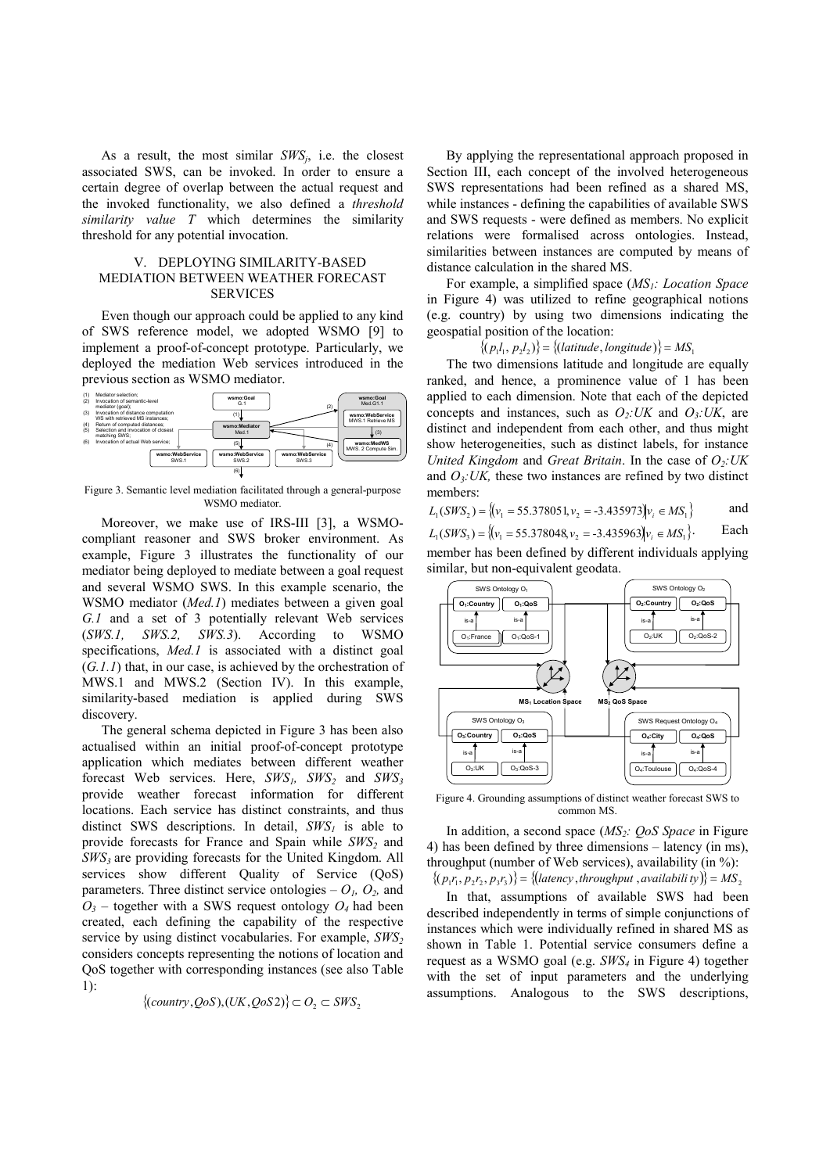As a result, the most similar *SWS<sup>j</sup>* , i.e. the closest associated SWS, can be invoked. In order to ensure a certain degree of overlap between the actual request and the invoked functionality, we also defined a *threshold similarity value T* which determines the similarity threshold for any potential invocation.

## V. DEPLOYING SIMILARITY-BASED MEDIATION BETWEEN WEATHER FORECAST SERVICES

Even though our approach could be applied to any kind of SWS reference model, we adopted WSMO [9] to implement a proof-of-concept prototype. Particularly, we deployed the mediation Web services introduced in the previous section as WSMO mediator.



Figure 3. Semantic level mediation facilitated through a general-purpose WSMO mediator.

Moreover, we make use of IRS-III [3], a WSMOcompliant reasoner and SWS broker environment. As example, Figure 3 illustrates the functionality of our mediator being deployed to mediate between a goal request and several WSMO SWS. In this example scenario, the WSMO mediator (*Med.1*) mediates between a given goal *G.1* and a set of 3 potentially relevant Web services (*SWS.1, SWS.2, SWS.3*). According to WSMO specifications, *Med.1* is associated with a distinct goal (*G.1.1*) that, in our case, is achieved by the orchestration of MWS.1 and MWS.2 (Section IV). In this example, similarity-based mediation is applied during SWS discovery.

The general schema depicted in Figure 3 has been also actualised within an initial proof-of-concept prototype application which mediates between different weather forecast Web services. Here, *SWS1, SWS2* and *SWS<sup>3</sup>* provide weather forecast information for different locations. Each service has distinct constraints, and thus distinct SWS descriptions. In detail, *SWS1* is able to provide forecasts for France and Spain while *SWS2* and *SWS3* are providing forecasts for the United Kingdom. All services show different Quality of Service (QoS) parameters. Three distinct service ontologies  $- O<sub>1</sub>, O<sub>2</sub>$ , and  $O_3$  – together with a SWS request ontology  $O_4$  had been created, each defining the capability of the respective service by using distinct vocabularies. For example, *SWS<sup>2</sup>* considers concepts representing the notions of location and QoS together with corresponding instances (see also Table  $1$ ).

$$
\{(country, QoS), (UK, QoS2)\}\subset O_2\subset SWS_2
$$

By applying the representational approach proposed in Section III, each concept of the involved heterogeneous SWS representations had been refined as a shared MS, while instances - defining the capabilities of available SWS and SWS requests - were defined as members. No explicit relations were formalised across ontologies. Instead, similarities between instances are computed by means of distance calculation in the shared MS.

For example, a simplified space (*MS1: Location Space* in Figure 4) was utilized to refine geographical notions (e.g. country) by using two dimensions indicating the geospatial position of the location:

 $\{(p_1l_1, p_2l_2)\} = \{(latitude, longitude)\} = MS_1$ 

The two dimensions latitude and longitude are equally ranked, and hence, a prominence value of 1 has been applied to each dimension. Note that each of the depicted concepts and instances, such as *O2:UK* and *O3:UK*, are distinct and independent from each other, and thus might show heterogeneities, such as distinct labels, for instance *United Kingdom* and *Great Britain*. In the case of *O2:UK*  and  $O_3$ *: UK*, these two instances are refined by two distinct members:

 $L_1(SWS_2) = \{(v_1 = 55.378051, v_2 = -3.435973)v_i \in MS_1\}$  and

 $L_1(SWS_3) = \{ (v_1 = 55.378048, v_2 = -3.435963) | v_i \in MS_1 \}.$  Each

member has been defined by different individuals applying similar, but non-equivalent geodata.



Figure 4. Grounding assumptions of distinct weather forecast SWS to common MS.

In addition, a second space (*MS2: QoS Space* in Figure 4) has been defined by three dimensions – latency (in ms), throughput (number of Web services), availability (in %):  $\{(p_1r_1, p_2r_2, p_3r_3)\}\$  =  $\{(latency, throughput, availability)\}$  =  $MS_2$ 

In that, assumptions of available SWS had been described independently in terms of simple conjunctions of instances which were individually refined in shared MS as shown in Table 1. Potential service consumers define a request as a WSMO goal (e.g. *SWS4* in Figure 4) together with the set of input parameters and the underlying assumptions. Analogous to the SWS descriptions,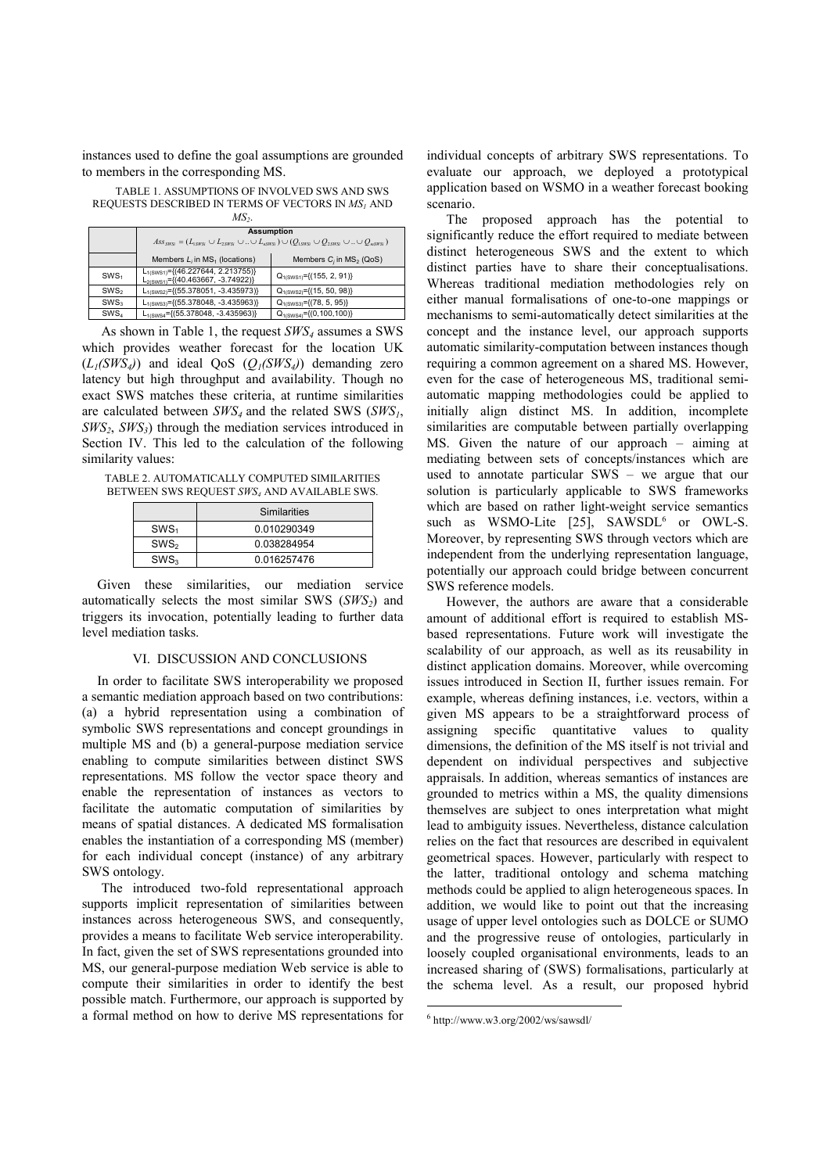instances used to define the goal assumptions are grounded to members in the corresponding MS.

TABLE 1. ASSUMPTIONS OF INVOLVED SWS AND SWS REQUESTS DESCRIBED IN TERMS OF VECTORS IN *MS1* AND *MS2*.

|                  | <b>Assumption</b><br>$Ass_{sws} = (L_{ssws} \cup L_{ssws} \cup  \cup L_{ssws}) \cup (Q_{ssws} \cup Q_{ssws} \cup  \cup Q_{ssws})$ |                                   |
|------------------|-----------------------------------------------------------------------------------------------------------------------------------|-----------------------------------|
|                  | Members $L_i$ in $MS_1$ (locations)                                                                                               | Members $C_i$ in $MS_2$ (QoS)     |
| SWS <sub>1</sub> | $L_{1(SWS1)} = \{(46.227644, 2.213755)\}$<br>$L_{2(SWS1)} = \{(40.463667, -3.74922)\}$                                            | $Q_{1(SWS1)} = \{(155, 2, 91)\}$  |
| SWS <sub>2</sub> | $L_{1(SWS2)} = \{(55.378051, -3.435973)\}$                                                                                        | $Q_{1(SWS2)} = \{(15, 50, 98)\}$  |
| SWS <sub>3</sub> | $L_{1(SWS3)} = \{(55.378048, -3.435963)\}$                                                                                        | $Q_{1(SWS3)} = \{(78, 5, 95)\}$   |
| SWS <sub>4</sub> | $L_{1(SWS4} = \{(55.378048, -3.435963)\}$                                                                                         | $Q_{1(SWS4)} = \{(0, 100, 100)\}$ |

As shown in Table 1, the request *SWS4* assumes a SWS which provides weather forecast for the location UK  $(L_1(SWS_4))$  and ideal  $\text{OoS}$   $(O_1(SWS_4))$  demanding zero latency but high throughput and availability. Though no exact SWS matches these criteria, at runtime similarities are calculated between *SWS4* and the related SWS (*SWS1*, *SWS2*, *SWS3*) through the mediation services introduced in Section IV. This led to the calculation of the following similarity values:

TABLE 2. AUTOMATICALLY COMPUTED SIMILARITIES BETWEEN SWS REQUEST *SWS4* AND AVAILABLE SWS.

|                  | Similarities |  |
|------------------|--------------|--|
| SWS <sub>1</sub> | 0.010290349  |  |
| SWS <sub>2</sub> | 0.038284954  |  |
| SWS <sub>3</sub> | 0.016257476  |  |

Given these similarities, our mediation service automatically selects the most similar SWS (*SWS2*) and triggers its invocation, potentially leading to further data level mediation tasks.

#### VI. DISCUSSION AND CONCLUSIONS

In order to facilitate SWS interoperability we proposed a semantic mediation approach based on two contributions: (a) a hybrid representation using a combination of symbolic SWS representations and concept groundings in multiple MS and (b) a general-purpose mediation service enabling to compute similarities between distinct SWS representations. MS follow the vector space theory and enable the representation of instances as vectors to facilitate the automatic computation of similarities by means of spatial distances. A dedicated MS formalisation enables the instantiation of a corresponding MS (member) for each individual concept (instance) of any arbitrary SWS ontology.

The introduced two-fold representational approach supports implicit representation of similarities between instances across heterogeneous SWS, and consequently, provides a means to facilitate Web service interoperability. In fact, given the set of SWS representations grounded into MS, our general-purpose mediation Web service is able to compute their similarities in order to identify the best possible match. Furthermore, our approach is supported by a formal method on how to derive MS representations for

individual concepts of arbitrary SWS representations. To evaluate our approach, we deployed a prototypical application based on WSMO in a weather forecast booking scenario.

The proposed approach has the potential to significantly reduce the effort required to mediate between distinct heterogeneous SWS and the extent to which distinct parties have to share their conceptualisations. Whereas traditional mediation methodologies rely on either manual formalisations of one-to-one mappings or mechanisms to semi-automatically detect similarities at the concept and the instance level, our approach supports automatic similarity-computation between instances though requiring a common agreement on a shared MS. However, even for the case of heterogeneous MS, traditional semiautomatic mapping methodologies could be applied to initially align distinct MS. In addition, incomplete similarities are computable between partially overlapping MS. Given the nature of our approach – aiming at mediating between sets of concepts/instances which are used to annotate particular SWS – we argue that our solution is particularly applicable to SWS frameworks which are based on rather light-weight service semantics such as WSMO-Lite  $[25]$ , SAWSDL<sup>6</sup> or OWL-S. Moreover, by representing SWS through vectors which are independent from the underlying representation language, potentially our approach could bridge between concurrent SWS reference models.

However, the authors are aware that a considerable amount of additional effort is required to establish MSbased representations. Future work will investigate the scalability of our approach, as well as its reusability in distinct application domains. Moreover, while overcoming issues introduced in Section II, further issues remain. For example, whereas defining instances, i.e. vectors, within a given MS appears to be a straightforward process of assigning specific quantitative values to quality dimensions, the definition of the MS itself is not trivial and dependent on individual perspectives and subjective appraisals. In addition, whereas semantics of instances are grounded to metrics within a MS, the quality dimensions themselves are subject to ones interpretation what might lead to ambiguity issues. Nevertheless, distance calculation relies on the fact that resources are described in equivalent geometrical spaces. However, particularly with respect to the latter, traditional ontology and schema matching methods could be applied to align heterogeneous spaces. In addition, we would like to point out that the increasing usage of upper level ontologies such as DOLCE or SUMO and the progressive reuse of ontologies, particularly in loosely coupled organisational environments, leads to an increased sharing of (SWS) formalisations, particularly at the schema level. As a result, our proposed hybrid

-

<sup>6</sup> http://www.w3.org/2002/ws/sawsdl/